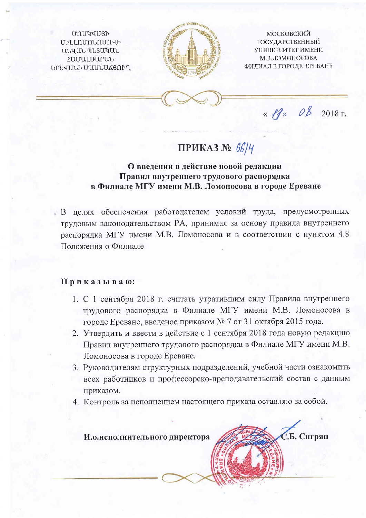**UNUYYU3h** Մ.Վ.ԼՈՄՈՆՈՍՈՎԻ UUUU TUSUUU **ZUUULUUCUL** ԵՐԵՎԱՆԻ ՄԱՄՆԱՃՅՈՒՂ



МОСКОВСКИЙ ГОСУДАРСТВЕННЫЙ УНИВЕРСИТЕТ ИМЕНИ М.В.ЛОМОНОСОВА ФИЛИАЛ В ГОРОДЕ ЕРЕВАНЕ



 $\frac{1}{2}$  08 2018 r.

Б. Снгрян

# ПРИКАЗ № 66/4

### О введении в действие новой редакции Правил внутреннего трудового распорядка в Филиале МГУ имени М.В. Ломоносова в городе Ереване

В целях обеспечения работодателем условий труда, предусмотренных трудовым законодательством РА, принимая за основу правила внутреннего распорядка МГУ имени М.В. Ломоносова и в соответствии с пунктом 4.8 Положения о Филиале

#### Приказываю:

- 1. С 1 сентября 2018 г. считать утратившим силу Правила внутреннего трудового распорядка в Филиале МГУ имени М.В. Ломоносова в городе Ереване, введеное приказом № 7 от 31 октября 2015 года.
- 2. Утвердить и ввести в действие с 1 сентября 2018 года новую редакцию Правил внутреннего трудового распорядка в Филиале МГУ имени М.В. Ломоносова в городе Ереване.
- 3. Руководителям структурных подразделений, учебной части ознакомить всех работников и профессорско-преподавательский состав с данным приказом.
- 4. Контроль за исполнением настоящего приказа оставляю за собой.

И.о.исполнительного директора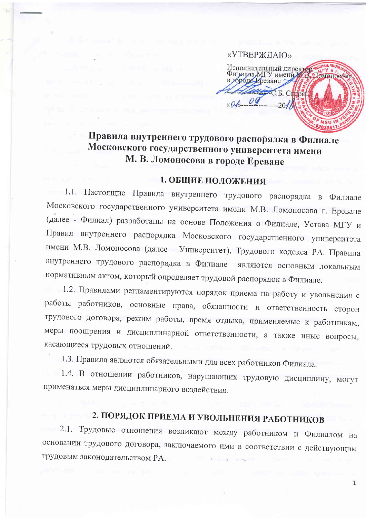#### «УТВЕРЖДАЮ»

Исполнительный директор МГУ в гимина в ророде Рреване Б. С**мерян** 

## Правила внутреннего трудового распорядка в Филиале Московского государственного университета имени М. В. Ломоносова в городе Ереване

## 1. ОБЩИЕ ПОЛОЖЕНИЯ

1.1. Настоящие Правила внутреннего трудового распорядка в Филиале Московского государственного университета имени М.В. Ломоносова г. Ереване (далее - Филиал) разработаны на основе Положения о Филиале, Устава МГУ и Правил внутреннего распорядка Московского государственного университета имени М.В. Ломоносова (далее - Университет), Трудового кодекса РА. Правила внутреннего трудового распорядка в Филиале являются основным локальным нормативным актом, который определяет трудовой распорядок в Филиале.

1.2. Правилами регламентируются порядок приема на работу и увольнения с работы работников, основные права, обязанности и ответственность сторон трудового договора, режим работы, время отдыха, применяемые к работникам, меры поощрения и дисциплинарной ответственности, а также иные вопросы, касающиеся трудовых отношений.

1.3. Правила являются обязательными для всех работников Филиала.

1.4. В отношении работников, нарушающих трудовую дисциплину, могут применяться меры дисциплинарного воздействия.

# 2. ПОРЯДОК ПРИЕМА И УВОЛЬНЕНИЯ РАБОТНИКОВ

2.1. Трудовые отношения возникают между работником и Филиалом на основании трудового договора, заключаемого ими в соответствии с действующим трудовым законодательством РА.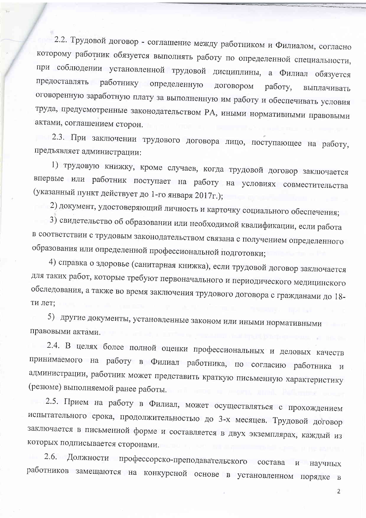2.2. Трудовой договор - соглашение между работником и Филиалом, согласно которому работник обязуется выполнять работу по определенной специальности, при соблюдении установленной трудовой дисциплины, а Филиал обязуется предоставлять работнику определенную договором работу. выплачивать оговоренную заработную плату за выполненную им работу и обеспечивать условия труда, предусмотренные законодательством РА, иными нормативными правовыми актами, соглашением сторон.

2.3. При заключении трудового договора лицо, поступающее на работу, предъявляет администрации:

1) трудовую книжку, кроме случаев, когда трудовой договор заключается впервые или работник поступает на работу на условиях совместительства (указанный пункт действует до 1-го января 2017г.);

2) документ, удостоверяющий личность и карточку социального обеспечения;

3) свидетельство об образовании или необходимой квалификации, если работа в соответствии с трудовым законодательством связана с получением определенного образования или определенной профессиональной подготовки;

4) справка о здоровье (санитарная книжка), если трудовой договор заключается для таких работ, которые требуют первоначального и периодического медицинского обследования, а также во время заключения трудового договора с гражданами до 18ти лет:

5) другие документы, установленные законом или иными нормативными правовыми актами.

2.4. В целях более полной оценки профессиональных и деловых качеств принимаемого на работу в Филиал работника, по согласию работника и администрации, работник может представить краткую письменную характеристику (резюме) выполняемой ранее работы.

2.5. Прием на работу в Филиал, может осуществляться с прохождением испытательного срока, продолжительностью до 3-х месяцев. Трудовой договор заключается в письменной форме и составляется в двух экземплярах, каждый из которых подписывается сторонами.

Должности профессорско-преподавательского состава и 2.6. научных работников замещаются на конкурсной основе в установленном порядке  $\overline{B}$ 

 $\overline{2}$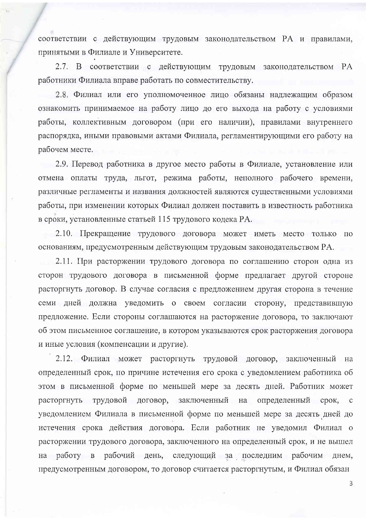соответствии с действующим трудовым законодательством РА и правилами, принятыми в Филиале и Университете.

2.7. В соответствии с действующим трудовым законодательством РА работники Филиала вправе работать по совместительству.

2.8. Филиал или его уполномоченное лицо обязаны надлежащим образом ознакомить принимаемое на работу лицо до его выхода на работу с условиями работы, коллективным договором (при его наличии), правилами внутреннего распорядка, иными правовыми актами Филиала, регламентирующими его работу на рабочем месте.

2.9. Перевод работника в другое место работы в Филиале, установление или отмена оплаты труда, льгот, режима работы, неполного рабочего времени, различные регламенты и названия должностей являются существенными условиями работы, при изменении которых Филиал должен поставить в известность работника в сроки, установленные статьей 115 трудового кодека РА.

2.10. Прекращение трудового договора может иметь место только  $\Pi$ O основаниям, предусмотренным действующим трудовым законодательством РА.

2.11. При расторжении трудового договора по соглашению сторон одна из сторон трудового договора в письменной форме предлагает другой стороне расторгнуть договор. В случае согласия с предложением другая сторона в течение семи дней должна уведомить о своем согласии сторону, представившую предложение. Если стороны соглашаются на расторжение договора, то заключают об этом письменное соглашение, в котором указываются срок расторжения договора и иные условия (компенсации и другие).

2.12. Филиал может расторгнуть трудовой договор, заключенный Ha определенный срок, по причине истечения его срока с уведомлением работника об этом в письменной форме по меньшей мере за десять дней. Работник может заключенный на расторгнуть трудовой договор, определенный срок, уведомлением Филиала в письменной форме по меньшей мере за десять дней до истечения срока действия договора. Если работник не уведомил Филиал о расторжении трудового договора, заключенного на определенный срок, и не вышел работу в рабочий день, следующий за последним рабочим днем,  $Ha$ предусмотренным договором, то договор считается расторгнутым, и Филиал обязан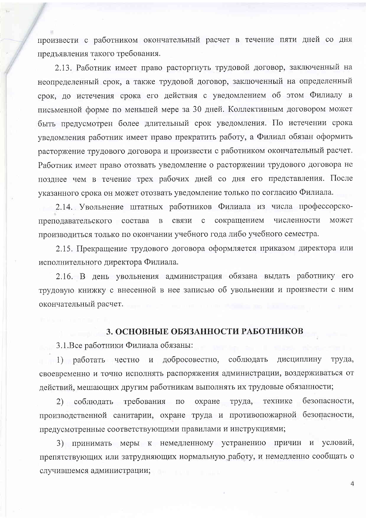произвести с работником окончательный расчет в течение пяти дней со дня предъявления такого требования.

2.13. Работник имеет право расторгнуть трудовой договор, заключенный на неопределенный срок, а также трудовой договор, заключенный на определенный срок, до истечения срока его действия с уведомлением об этом Филиалу в письменной форме по меньшей мере за 30 дней. Коллективным договором может быть предусмотрен более длительный срок уведомления. По истечении срока уведомления работник имеет право прекратить работу, а Филиал обязан оформить расторжение трудового договора и произвести с работником окончательный расчет. Работник имеет право отозвать уведомление о расторжении трудового договора не позднее чем в течение трех рабочих дней со дня его представления. После указанного срока он может отозвать уведомление только по согласию Филиала.

2.14. Увольнение штатных работников Филиала из числа профессорскочисленности  $\mathbf{B}$ связи с сокращением может преподавательского состава производиться только по окончании учебного года либо учебного семестра.

2.15. Прекращение трудового договора оформляется приказом директора или исполнительного директора Филиала.

2.16. В день увольнения администрация обязана выдать работнику его трудовую книжку с внесенной в нее записью об увольнении и произвести с ним окончательный расчет.

#### 3. ОСНОВНЫЕ ОБЯЗАННОСТИ РАБОТНИКОВ

3.1. Все работники Филиала обязаны:

1) работать честно и добросовестно, соблюдать дисциплину труда, своевременно и точно исполнять распоряжения администрации, воздерживаться от действий, мешающих другим работникам выполнять их трудовые обязанности;

технике безопасности.  $(2)$ соблюдать требования  $\Pi{\rm O}$ охране труда, производственной санитарии, охране труда и противопожарной безопасности, предусмотренные соответствующими правилами и инструкциями;

3) принимать меры к немедленному устранению причин и условий, препятствующих или затрудняющих нормальную работу, и немедленно сообщать о случившемся администрации;

 $\overline{4}$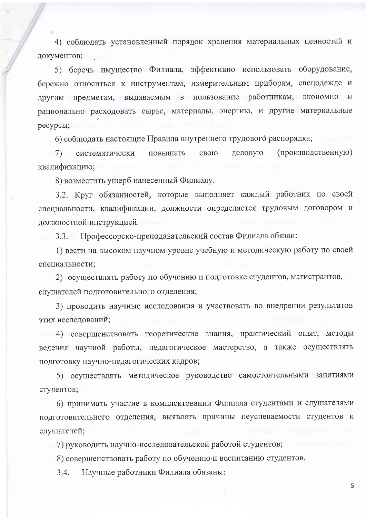4) соблюдать установленный порядок хранения материальных ценностей и документов;

5) беречь имущество Филиала, эффективно использовать оборудование, бережно относиться к инструментам, измерительным приборам, спецодежде и предметам, выдаваемым в пользование работникам, экономно и другим рационально расходовать сырье, материалы, энергию, и другие материальные ресурсы;

6) соблюдать настоящие Правила внутреннего трудового распорядка;

систематически свою деловую (производственную)  $(7)$ повышать квалификацию;

8) возместить ущерб нанесенный Филиалу.

3.2. Круг обязанностей, которые выполняет каждый работник по своей специальности, квалификации, должности определяется трудовым договором и должностной инструкцией.

3.3. Профессорско-преподавательский состав Филиала обязан:

1) вести на высоком научном уровне учебную и методическую работу по своей специальности;

2) осуществлять работу по обучению и подготовке студентов, магистрантов, слушателей подготовительного отделения;

3) проводить научные исследования и участвовать во внедрении результатов этих исследований;

4) совершенствовать теоретические знания, практический опыт, методы ведения научной работы, педагогическое мастерство, а также осуществлять подготовку научно-педагогических кадров;

5) осуществлять методическое руководство самостоятельными занятиями студентов;

6) принимать участие в комплектовании Филиала студентами и слушателями подготовительного отделения, выявлять причины неуспеваемости студентов и слушателей;

7) руководить научно-исследовательской работой студентов;

8) совершенствовать работу по обучению и воспитанию студентов.

 $3.4.$ Научные работники Филиала обязаны: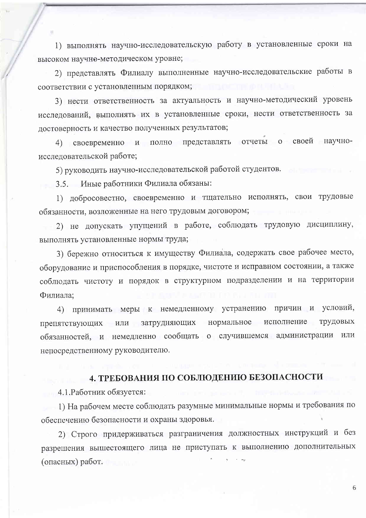1) выполнять научно-исследовательскую работу в установленные сроки на высоком научно-методическом уровне;

2) представлять Филиалу выполненные научно-исследовательские работы в соответствии с установленным порядком;

3) нести ответственность за актуальность и научно-методический уровень исследований, выполнять их в установленные сроки, нести ответственность за достоверность и качество полученных результатов;

своевременно и полно представлять отчеты о своей научно-4) исследовательской работе;

5) руководить научно-исследовательской работой студентов.

3.5. Иные работники Филиала обязаны:

1) добросовестно, своевременно и тщательно исполнять, свои трудовые обязанности, возложенные на него трудовым договором;

2) не допускать упущений в работе, соблюдать трудовую дисциплину, выполнять установленные нормы труда;

3) бережно относиться к имуществу Филиала, содержать свое рабочее место, оборудование и приспособления в порядке, чистоте и исправном состоянии, а также соблюдать чистоту и порядок в структурном подразделении и на территории Филиала:

4) принимать меры к немедленному устранению причин и условий, исполнение трудовых препятствующих или затрудняющих нормальное обязанностей, и немедленно сообщать о случившемся администрации или непосредственному руководителю.

## 4. ТРЕБОВАНИЯ ПО СОБЛЮДЕНИЮ БЕЗОПАСНОСТИ

4.1. Работник обязуется:

1) На рабочем месте соблюдать разумные минимальные нормы и требования по обеспечению безопасности и охраны здоровья.

2) Строго придерживаться разграничения должностных инструкций и без разрешения вышестоящего лица не приступать к выполнению дополнительных (опасных) работ.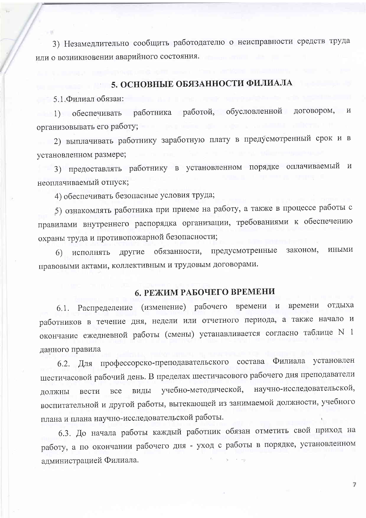3) Незамедлительно сообщить работодателю о неисправности средств труда или о возникновении аварийного состояния.

## 5. ОСНОВНЫЕ ОБЯЗАННОСТИ ФИЛИАЛА

5.1 Филиал обязан:

работника работой, обусловленной договором,  $\overline{M}$ 1) обеспечивать организовывать его работу;

2) выплачивать работнику заработную плату в предусмотренный срок и в установленном размере;

3) предоставлять работнику в установленном порядке оплачиваемый и неоплачиваемый отпуск;

4) обеспечивать безопасные условия труда;

5) ознакомлять работника при приеме на работу, а также в процессе работы с правилами внутреннего распорядка организации, требованиями к обеспечению охраны труда и противопожарной безопасности;

обязанности, предусмотренные ИНЫМИ законом, исполнять другие  $6)$ правовыми актами, коллективным и трудовым договорами.

#### 6. РЕЖИМ РАБОЧЕГО ВРЕМЕНИ

Распределение (изменение) рабочего времени и времени отдыха  $6.1.$ работников в течение дня, недели или отчетного периода, а также начало и окончание ежедневной работы (смены) устанавливается согласно таблице N 1 данного правила

6.2. Для профессорско-преподавательского состава Филиала установлен шестичасовой рабочий день. В пределах шестичасового рабочего дня преподаватели научно-исследовательской, учебно-методической, **BCC** вилы вести ДОЛЖНЫ воспитательной и другой работы, вытекающей из занимаемой должности, учебного плана и плана научно-исследовательской работы.

6.3. До начала работы каждый работник обязан отметить свой приход на работу, а по окончании рабочего дня - уход с работы в порядке, установленном администрацией Филиала.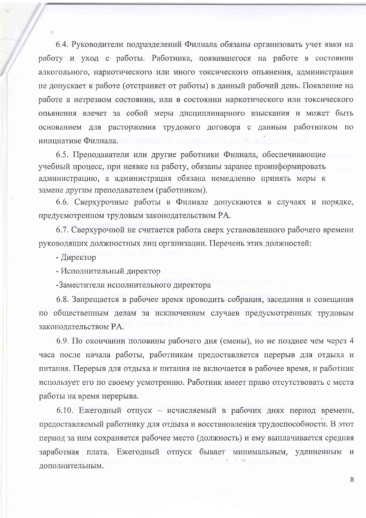6.4. Руководители подразделений Филиала обязаны организовать учет явки на работу и уход с работы. Работника, появившегося на работе в состоянии алкогольного, наркотического или иного токсического опьянения, администрация не допускает к работе (отстраняет от работы) в данный рабочий день. Появление на работе в нетрезвом состоянии, или в состоянии наркотического или токсического опьянения влечет за собой меры дисциплинарного взыскания и может быть основанием для расторжения трудового договора с данным работником по инициативе Филиала.

6.5. Преподаватели или другие работники Филиала, обеспечивающие учебный процесс, при неявке на работу, обязаны заранее проинформировать администрацию, а администрация обязана немедленно принять меры к замене другим преподавателем (работником).

6.6. Сверхурочные работы в Филиале допускаются в случаях и порядке, предусмотренном трудовым законодательством РА.

6.7. Сверхурочной не считается работа сверх установленного рабочего времени руководящих должностных лиц организации. Перечень этих должностей:

- Директор

- Исполнительный директор

-Заместители исполнительного директора

6.8. Запрещается в рабочее время проводить собрания, заседания и совещания по общественным делам за исключением случаев предусмотренных трудовым законодательством РА.

6.9. По окончании половины рабочего дня (смены), но не позднее чем через 4 часа после начала работы, работникам предоставляется перерыв для отдыха и питания. Перерыв для отдыха и питания не включается в рабочее время, и работник использует его по своему усмотрению. Работник имеет право отсутствовать с места работы на время перерыва.

6.10. Ежегодный отпуск - исчисляемый в рабочих днях период времени, предоставляемый работнику для отдыха и восстановления трудоспособности. В этот период за ним сохраняется рабочее место (должность) и ему выплачивается средняя заработная плата. Ежегодный отпуск бывает минимальным, удлиненным и дополнительным.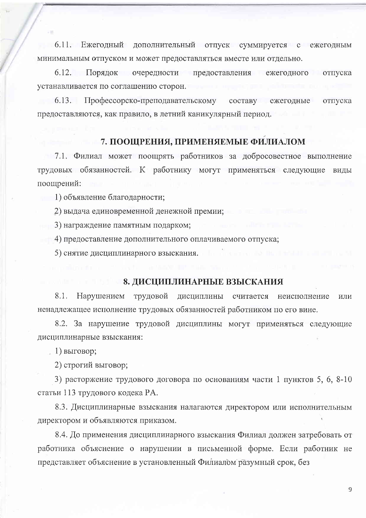$6.11.$ Ежеголный дополнительный отпуск суммируется с ежегодным минимальным отпуском и может предоставляться вместе или отдельно.

 $6.12.$ Порядок очередности предоставления ежегодного отпуска устанавливается по соглашению сторон.

Профессорско-преподавательскому  $6.13.$ составу ежегодные отпуска предоставляются, как правило, в летний каникулярный период.

#### 7. ПООЩРЕНИЯ, ПРИМЕНЯЕМЫЕ ФИЛИАЛОМ

7.1. Филиал может поощрять работников за добросовестное выполнение трудовых обязанностей. К работнику могут применяться следующие виды поощрений:

1) объявление благодарности;

2) выдача единовременной денежной премии;

3) награждение памятным подарком;

4) предоставление дополнительного оплачиваемого отпуска;

5) снятие дисциплинарного взыскания.

#### 8. ДИСЦИПЛИНАРНЫЕ ВЗЫСКАНИЯ

 $8.1.$ Нарушением трудовой дисциплины считается неисполнение ИЛИ ненадлежащее исполнение трудовых обязанностей работником по его вине.

8.2. За нарушение трудовой дисциплины могут применяться следующие дисциплинарные взыскания:

 $(1)$  выговор;

2) строгий выговор;

3) расторжение трудового договора по основаниям части 1 пунктов 5, 6, 8-10 статьи 113 трудового кодека РА.

8.3. Дисциплинарные взыскания налагаются директором или исполнительным директором и объявляются приказом.

8.4. До применения дисциплинарного взыскания Филиал должен затребовать от работника объяснение о нарушении в письменной форме. Если работник не представляет объяснение в установленный Филиалом разумный срок, без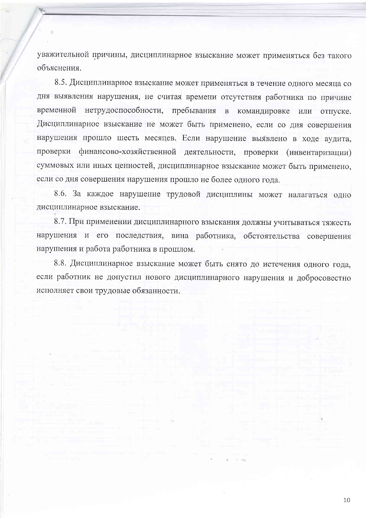уважительной причины, дисциплинарное взыскание может применяться без такого объяснения.

8.5. Дисциплинарное взыскание может применяться в течение одного месяца со дня выявления нарушения, не считая времени отсутствия работника по причине нетрудоспособности, пребывания в командировке или временной отпуске. Дисциплинарное взыскание не может быть применено, если со дня совершения нарушения прошло шесть месяцев. Если нарушение выявлено в ходе аудита, проверки финансово-хозяйственной деятельности, проверки (инвентаризации) суммовых или иных ценностей, дисциплинарное взыскание может быть применено, если со дня совершения нарушения прошло не более одного года.

8.6. За каждое нарушение трудовой дисциплины может налагаться одно дисциплинарное взыскание.

8.7. При применении дисциплинарного взыскания должны учитываться тяжесть нарушения и его последствия, вина работника, обстоятельства совершения нарушения и работа работника в прошлом.

8.8. Дисциплинарное взыскание может быть снято до истечения одного года, если работник не допустил нового дисциплинарного нарушения и добросовестно исполняет свои трудовые обязанности.